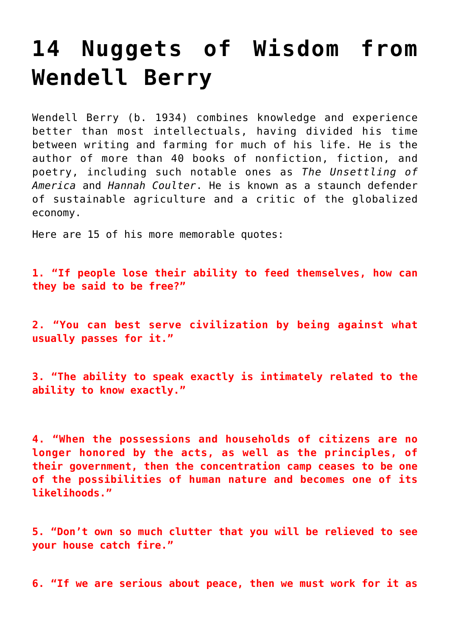## **[14 Nuggets of Wisdom from](https://intellectualtakeout.org/2015/11/14-nuggets-of-wisdom-from-wendell-berry/) [Wendell Berry](https://intellectualtakeout.org/2015/11/14-nuggets-of-wisdom-from-wendell-berry/)**

Wendell Berry (b. 1934) combines knowledge and experience better than most intellectuals, having divided his time between writing and farming for much of his life. He is the author of more than 40 books of nonfiction, fiction, and poetry, including such notable ones as *The Unsettling of America* and *Hannah Coulter*. He is known as a staunch defender of sustainable agriculture and a critic of the globalized economy.

Here are 15 of his more memorable quotes:

**1. "If people lose their ability to feed themselves, how can they be said to be free?"**

**2. "You can best serve civilization by being against what usually passes for it."** 

**3. "The ability to speak exactly is intimately related to the ability to know exactly."**

**4. "When the possessions and households of citizens are no longer honored by the acts, as well as the principles, of their government, then the concentration camp ceases to be one of the possibilities of human nature and becomes one of its likelihoods."**

**5. "Don't own so much clutter that you will be relieved to see your house catch fire."** 

**6. "If we are serious about peace, then we must work for it as**